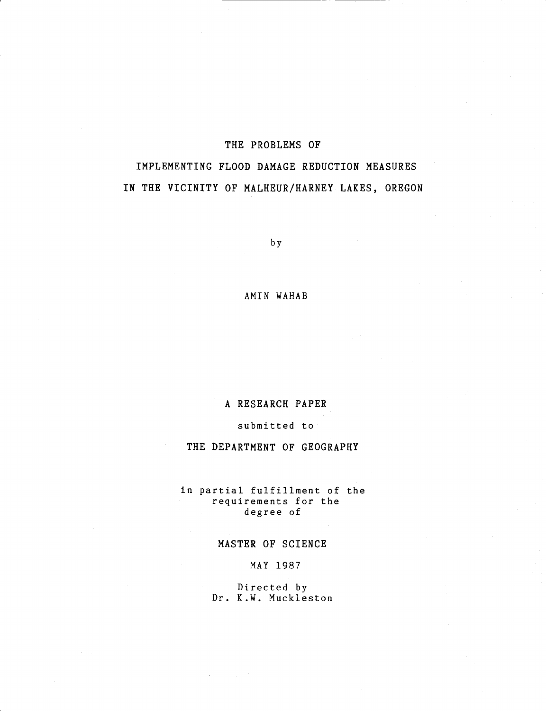# THE PROBLEMS OF

# IMPLEMENTING FLOOD DAMAGE REDUCTION MEASURES IN THE VICINITY OF MALHEUR/HARNEY LAKES, OREGON

by

# AMIN WAHAB

# A RESEARCH PAPER

## submitted to

## THE DEPARTMENT OF GEOGRAPHY

in partial fulfillment of the requirements for the degree of

## MASTER OF SCIENCE

## MAY 1987

Directed by Dr. K.W. Muckleston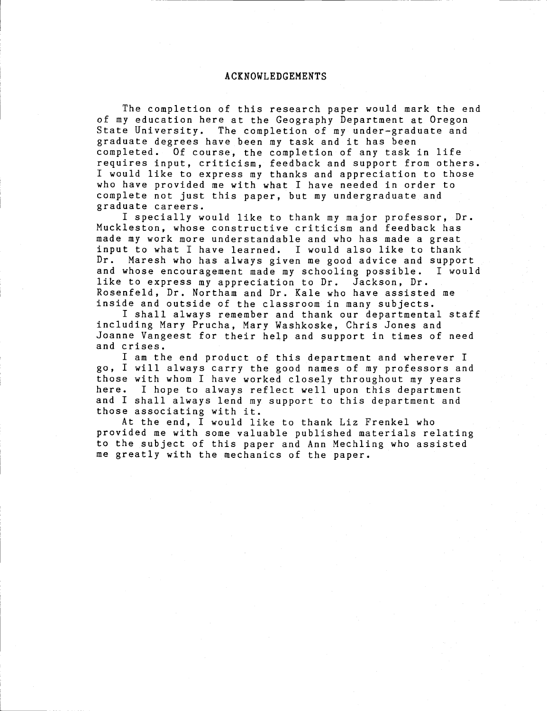#### ACKNOWLEDGEMENTS

The completion of this research paper would mark the end of my education here at the Geography Department at Oregon State University. The completion of my under-graduate and graduate degrees have been my task and it has been completed. Of course, the completion of any task in life requires input, criticism, feedback and support from others. I would like to express my thanks and appreciation to those who have provided me with what I have needed in order to complete not just this paper, but my undergraduate and graduate careers.

I specially would like to thank my major professor, Dr. Muckleston, whose constructive criticism and feedback has made my work more understandable and who has made a great input to what I have learned. I would also like to thank Dr. Maresh who has always given me good advice and support and whose encouragement made my schooling possible. I would like to express my appreciation to Dr. Jackson, Dr. Rosenfeld, Dr. Northam and Dr. Kale who have assisted me inside and outside of the classroom in many subjects.

I shall always remember and thank our departmental staff including Mary Prucha, Mary Washkoske, Chris Jones and Joanne Vangeest for their help and support in times of need and crises.

I am the end product of this department and wherever I go, I will always carry the good names of my professors and those with whom I have worked closely throughout my years here. I hope to always reflect well upon this department and I shall always lend my support to this department and those associating with it.

At the end, I would like to thank Liz Frenkel who provided me with some valuable published materials relating to the subject of this paper and Ann Mechling who assisted me greatly with the mechanics of the paper.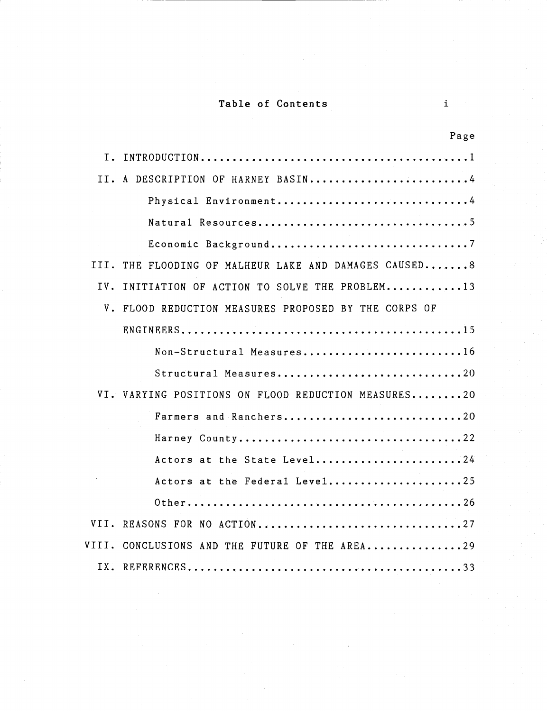# Table of Contents i

| Page                                                  |    |
|-------------------------------------------------------|----|
|                                                       | Ι. |
| II. A DESCRIPTION OF HARNEY BASIN4                    |    |
| Physical Environment4                                 |    |
| Natural Resources5                                    |    |
|                                                       |    |
| III. THE FLOODING OF MALHEUR LAKE AND DAMAGES CAUSED8 |    |
| IV. INITIATION OF ACTION TO SOLVE THE PROBLEM13       |    |
| V. FLOOD REDUCTION MEASURES PROPOSED BY THE CORPS OF  |    |
|                                                       |    |
| Non-Structural Measures16                             |    |
| Structural Measures20                                 |    |
| VI. VARYING POSITIONS ON FLOOD REDUCTION MEASURES20   |    |
| Farmers and Ranchers20                                |    |
| Harney County22                                       |    |
| Actors at the State Level24                           |    |
| Actors at the Federal Level25                         |    |
|                                                       |    |
| VII. REASONS FOR NO ACTION27                          |    |
| VIII. CONCLUSIONS AND THE FUTURE OF THE AREA29        |    |
|                                                       |    |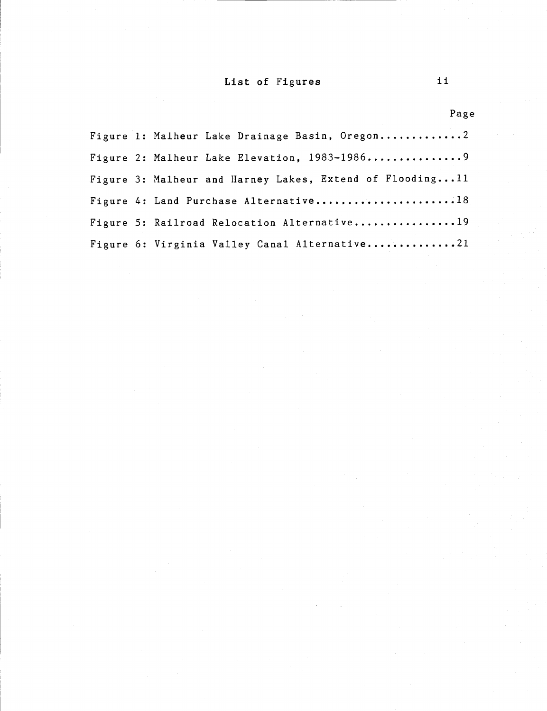# List of Figures ii

|  | Figure 1: Malheur Lake Drainage Basin, Oregon2           |
|--|----------------------------------------------------------|
|  | Figure 2: Malheur Lake Elevation, 1983-19869             |
|  | Figure 3: Malheur and Harney Lakes, Extend of Flooding11 |
|  | Figure 4: Land Purchase Alternative18                    |
|  | Figure 5: Railroad Relocation Alternative19              |
|  | Figure 6: Virginia Valley Canal Alternative21            |

Page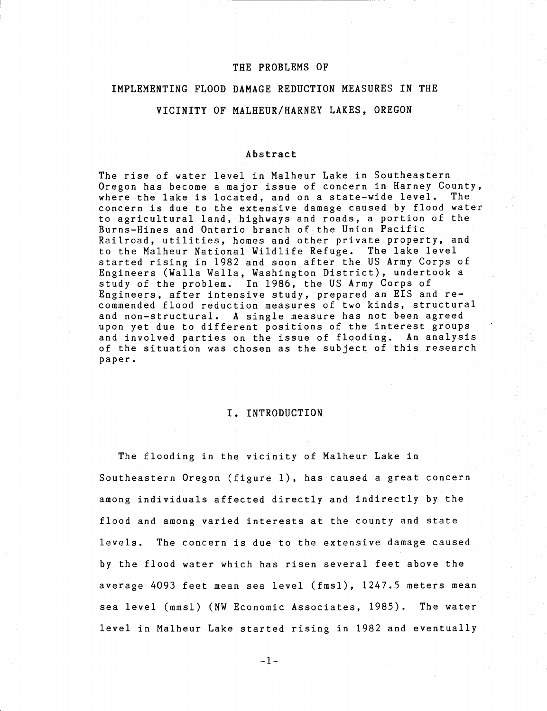#### THE PROBLEMS OF

### IMPLEMENTING FLOOD DAMAGE REDUCTION MEASURES IN THE

# VICINITY OF MALHEUR/HARNEY LAKES, OREGON

#### Abstract

The rise of water level in Malheur Lake in Southeastern Oregon has become a major issue of concern in Harney County, where the lake is located, and on a state-wide level. The concern is due to the extensive damage caused by flood water to agricultural land, highways and roads, a portion of the Burns-Hines and Ontario branch of the Union Pacific Railroad, utilities, homes and other private property, and to the Maiheur National Wildlife Refuge. The lake level started rising in 1982 and soon after the US Army Corps of Engineers (Walla Walla, Washington District), undertook a study of the problem. In 1986, the US Army Corps of Engineers, after intensive study, prepared an EIS and recommended flood reduction measures of two kinds, structural and non-structural. A single measure has not been agreed upon yet due to different positions of the interest groups and involved parties on the issue of flooding. An analysis of the situation was chosen as the subject of this research paper.

#### I. INTRODUCTION

The flooding in the vicinity of Malheur Lake in Southeastern Oregon (figure 1), has caused a great concern among individuals affected directly and indirectly by the flood and among varied interests at the county and state levels. The concern is due to the extensive damage caused by the flood water which has risen several feet above the average 4093 feet mean sea level (fmsl), 1247.5 meters mean sea level (mmsl) (NW Economic Associates, 1985). The water level in Maiheur Lake started rising in 1982 and eventually

-1-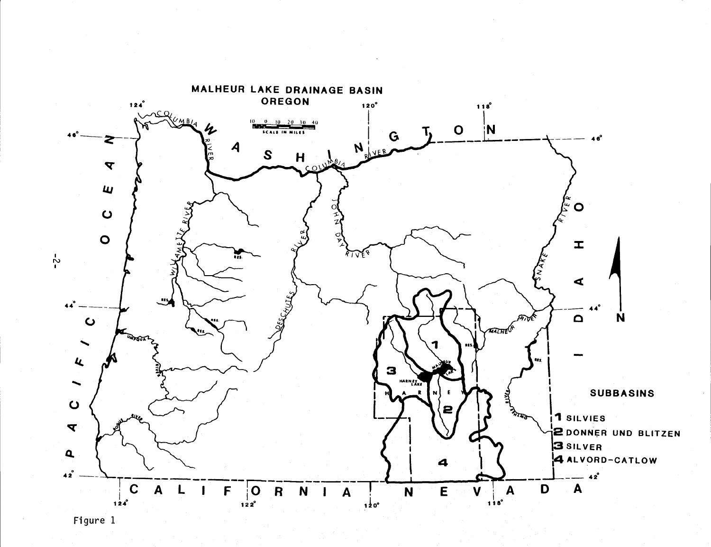

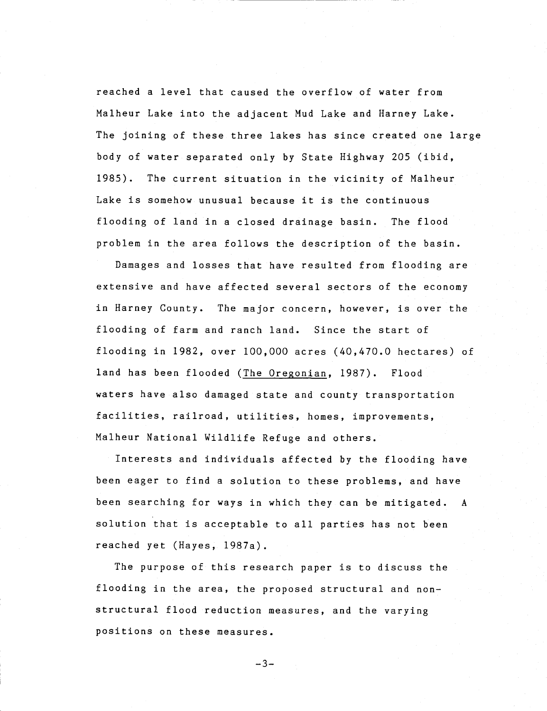reached a level that caused the overflow of water from Malheur Lake into the adjacent Mud Lake and Harney Lake. The joining of these three lakes has since created one large body of water separated only by State Highway 205 (ibid, 1985). The current situation in the vicinity of Malheur Lake is somehow unusual because it is the continuous flooding of land in a closed drainage basin. The flood problem in the area follows the description of the basin.

Damages and losses that have resulted from flooding are extensive and have affected several sectors of the economy in Harney County. The major concern, however, is over the flooding of farm and ranch land. Since the start of flooding in 1982, over 100,000 acres (40,470.0 hectares) of land has been flooded (The Oregonian, 1987). Flood waters have also damaged state and county transportation facilities, railroad, utilities, homes, improvements, Malheur National Wildlife Refuge and others.

Interests and individuals affected by the flooding have been eager to find a solution to these problems, and have been searching for ways in which they can be mitigated. A solution that is acceptable to all parties has not been reached yet (Hayes, 1987a).

The purpose of this research paper is to discuss the flooding in the area, the proposed structural and nonstructural flood reduction measures, and the varying positions on these measures.

 $-3-$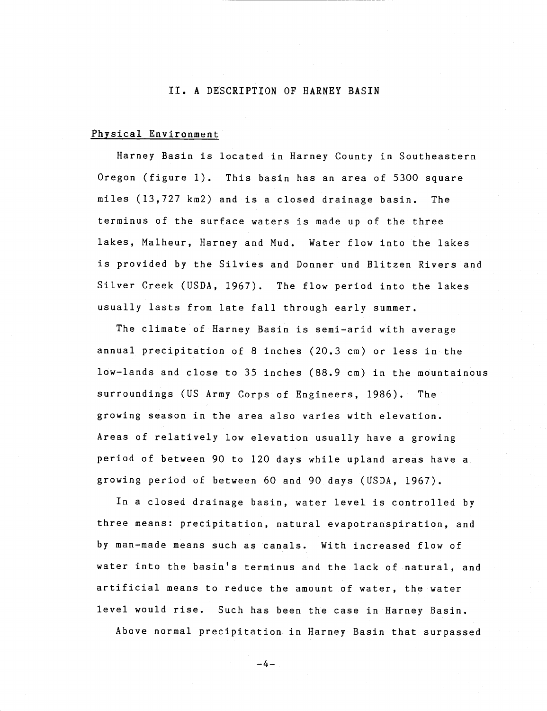#### II. A DESCRIPTION OF HARNEY BASIN

#### Physical Environment

Harney Basin is located in Harney County in Southeastern Oregon (figure 1). This basin has an area of 5300 square miles (13,727 km2) and is a closed drainage basin. The terminus of the surface waters is made up of the three lakes, Maiheur, Harney and Mud. Water flow into the lakes is provided by the Silvies and Donner und Blitzen Rivers and Silver Creek (USDA, 1967). The flow period into the lakes usually lasts from late fall through early summer.

The climate of Harney Basin is semi-arid with average annual precipitation of 8 inches (20.3 cm) or less in the low-lands and close to 35 inches (88.9 cm) in the mountainous surroundings (US Army Corps of Engineers, 1986). The growing season in the area also varies with elevation. Areas of relatively low elevation usually have a growing period of between 90 to 120 days while upland areas have a growing period of between 60 and 90 days (USDA, 1967).

In a closed drainage basin, water level is controlled by three means: precipitation, natural evapotranspiration, and by man-made means such as canals. With increased flow of water into the basin's terminus and the lack of natural, and artificial means to reduce the amount of water, the water level would rise. Such has been the case in Harney Basin.

Above normal precipitation in Harney Basin that surpassed

 $-4-$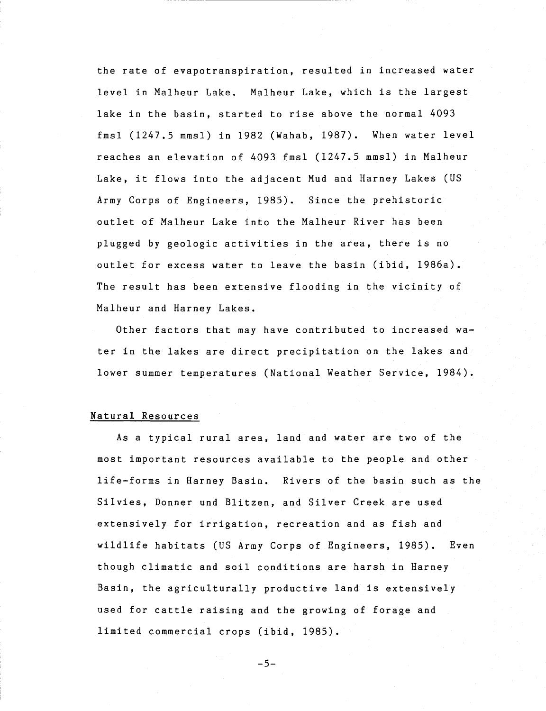the rate of evapotranspiration, resulted in increased water level in Malheur Lake. Malheur Lake, which is the largest lake in the basin, started to rise above the normal 4093 fmsl (1247.5 mmsl) in 1982 (Wahab, 1987). When water level reaches an elevation of 4093 fmsl (1247.5 mmsl) in Malheur Lake, it flows into the adjacent Mud and Harney Lakes (US Army Corps of Engineers, 1985). Since the prehistoric outlet of Naiheur Lake into the Malheur River has been plugged by geologic activities in the area, there is no outlet for excess water to leave the basin (ibid, 1986a). The result has been extensive flooding in the vicinity of Malheur and Harney Lakes.

Other factors that may have contributed to increased water in the lakes are direct precipitation on the lakes and lower summer temperatures (National Weather Service, 1984).

#### Natural Resources

As a typical rural area, land and water are two of the most important resources available to the people and other life-forms in Harney Basin. Rivers of the basin such as the Silvies, Donner und Blitzen, and Silver Creek are used extensively for irrigation, recreation and as fish and wildlife habitats (US Army Corps of Engineers, 1985). Even though climatic and soil conditions are harsh in Harney Basin, the agriculturally productive land is extensively used for cattle raising and the growing of forage and limited commercial crops (ibid, 1985).

-5-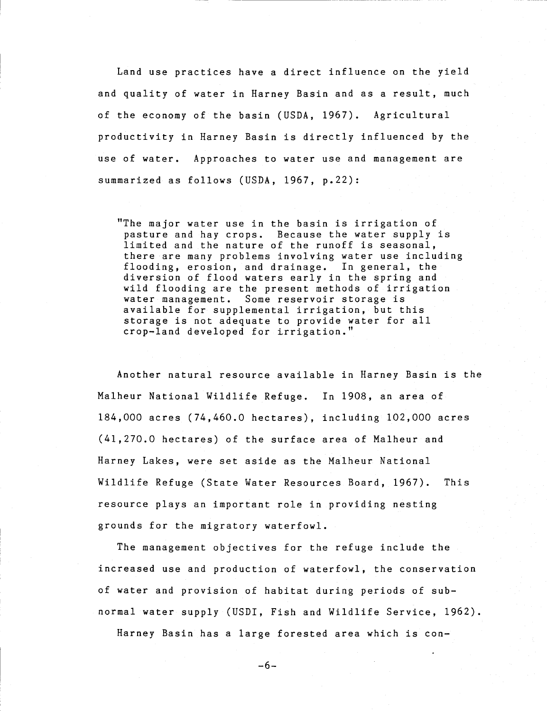Land use practices have a direct influence on the yield and quality of water in Harney Basin and as a result, much of the economy of the basin (USDA, 1967). Agricultural productivity in Harney Basin is directly influenced by the use of water. Approaches to water use and management are summarized as follows (USDA, 1967, p.22):

"The major water use in the basin is irrigation of pasture and hay crops. Because the water supply is limited and the nature of the runoff is seasonal, there are many problems involving water use including flooding, erosion, and drainage. In general, the diversion of flood waters early in the spring and wild flooding are the present methods of irrigation water management. Some reservoir storage is available for supplemental irrigation, but this storage is not adequate to provide water for all crop-land developed for irrigation."

Another natural resource available in Harney Basin is the Maiheur National Wildlife Refuge. In 1908, an area of 184,000 acres (74,460.0 hectares), including 102,000 acres (41,270.0 hectares) of the surface area of Maiheur and Harney Lakes, were set aside as the Maiheur National Wildlife Refuge (State Water Resources Board, 1967). This resource plays an important role in providing nesting grounds for the migratory waterfowl.

The management objectives for the refuge include the increased use and production of waterfowl, the conservation of water and provision of habitat during periods of subnormal water supply (USD1, Fish and Wildlife Service, 1962).

Harney Basin has a large forested area which is con-

 $-6-$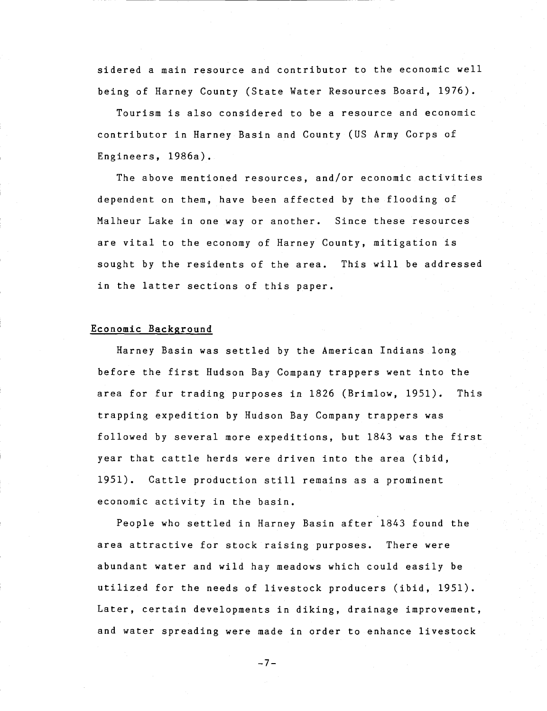sidered a main resource and contributor to the economic well being of Harney County (State Water Resources Board, 1976).

Tourism is also considered to be a resource and economic contributor in Harney Basin and County (US Army Corps of Engineers, 1986a).

The above mentioned resources, and/or economic activities dependent on them, have been affected by the flooding of Malheur Lake in one way or another. Since these resources are vital to the economy of Harney County, mitigation is sought by the residents of the area. This will be addressed in the latter sections of this paper.

# Economic Background

Harney Basin was settled by the American Indians long before the first Hudson Bay Company trappers went into the area for fur trading purposes in 1826 (Brimlow, 1951). This trapping expedition by Hudson Bay Company trappers was followed by several more expeditions, but 1843 was the first year that cattle herds were driven into the area (ibid, 1951). Cattle production still remains as a prominent economic activity in the basin.

People who settled in Harney Basin after 1843 found the area attractive for stock raising purposes. There were abundant water and wild hay meadows which could easily be utilized for the needs of livestock producers (ibid, 1951). Later, certain developments in diking, drainage improvement, and water spreading were made in order to enhance livestock

 $-7-$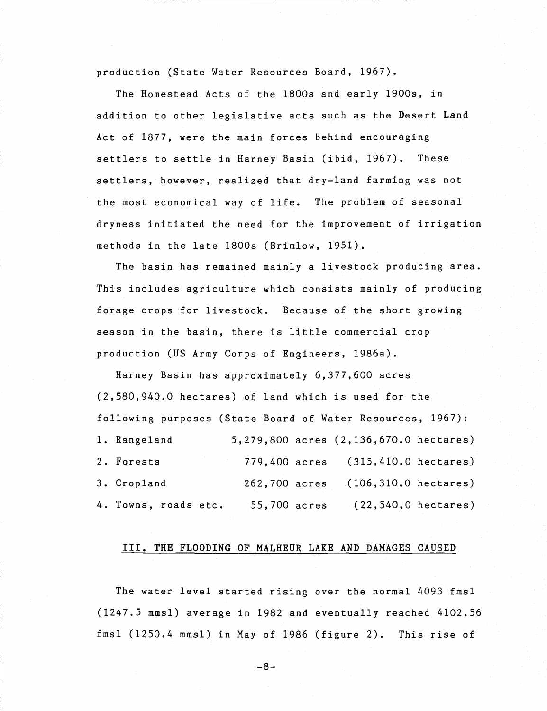production (State Water Resources Board, 1967).

The Homestead Acts of the 1800s and early 1900s, in addition to other legislative acts such as the Desert Land Act of 1877, were the main forces behind encouraging settlers to settle in Harney Basin (ibid, 1967). These settlers, however, realized that dry-land farming was not the most economical way of life. The problem of seasonal dryness initiated the need for the improvement of irrigation methods in the late 1800s (Brimlow, 1951).

The basin has remained mainly a livestock producing area. This includes agriculture which consists mainly of producing forage crops for livestock. Because of the short growing season in the basin, there is little commercial crop production (US Army Corps of Engineers, 1986a).

Harney Basin has approximately 6,377,600 acres (2,580,940.0 hectares) of land which is used for the following purposes (State Board of Water Resources, 1967): 1. Rangeland 5,279,800 acres (2,136,670.0 hectares) 2. Forests 779,400 acres (315,410.0 hectares) 3. Cropland 262,700 acres (106,310.0 hectares) 4. Towns, roads etc. 55,700 acres (22,540.0 hectares)

#### III. THE FLOODING OF MALHEUR LAKE AND DAMAGES CAUSED

The water level started rising over the normal 4093 fmsl  $(1247.5$  mmsl) average in 1982 and eventually reached  $4102.56$ fmsl (1250.4 mmsl) in May of 1986 (figure 2). This rise of

 $-8-$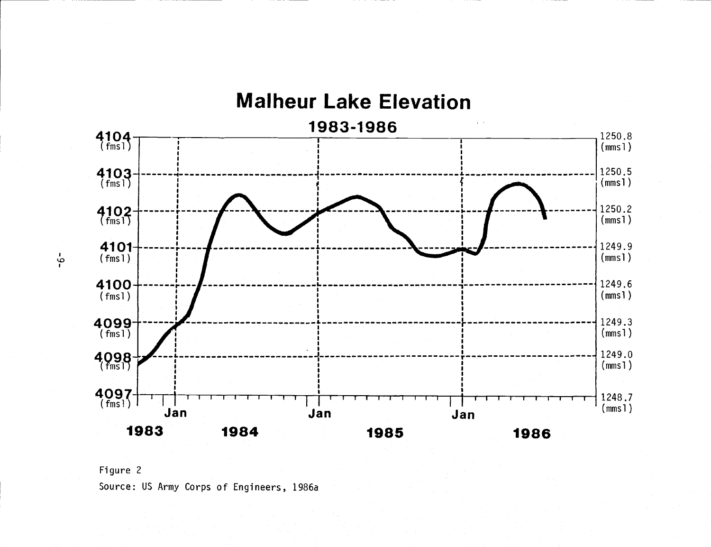

Figure 2 Source: US Army Corps of Engineers, 1986a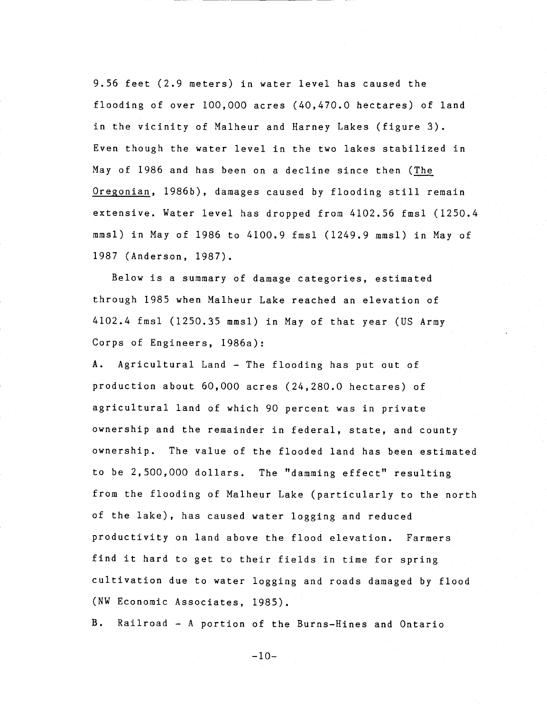9.56 feet (2.9 meters) in water level has caused the flooding of over 100,000 acres (40,470.0 hectares) of land in the vicinity of Malheur and Harney Lakes (figure 3). Even though the water level in the two lakes stabilized in May of 1986 and has been on a decline since then (The Oregonian, 1986b), damages caused by flooding still remain extensive. Water level has dropped from 4102.56 fmsl (1250.4 mmsl) in May of 1986 to 4100.9 fmsl (1249.9 mmsl) in May of 1987 (Anderson, 1987).

Below is a summary of damage categories, estimated through 1985 when Maiheur Lake reached an elevation of 4102.4 fmsl (1250.35 mmsl) in May of that year (US Army Corps of Engineers, 1986a):

A. Agricultural Land - The flooding has put out of production about 60,000 acres (24,280.0 hectares) of agricultural land of which 90 percent was in private ownership and the remainder in federal, state, and county ownership. The value of the flooded land has been estimated to be 2,500,000 dollars. The "damming effect" resulting from the flooding of Malheur Lake (particularly to the north of the lake), has caused water logging and reduced productivity on land above the flood elevation. Farmers find it hard to get to their fields in time for spring cultivation due to water logging and roads damaged by flood (NW Economic Associates, 1985).

B. Railroad - A portion of the Burns-Hines and Ontario

 $-10-$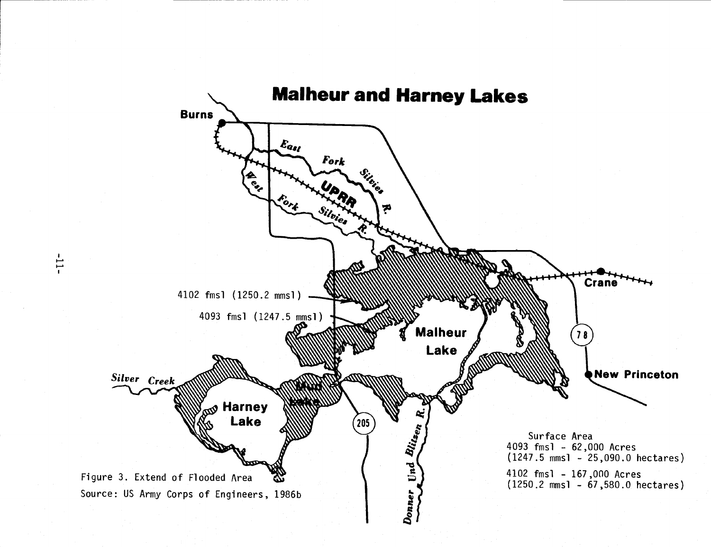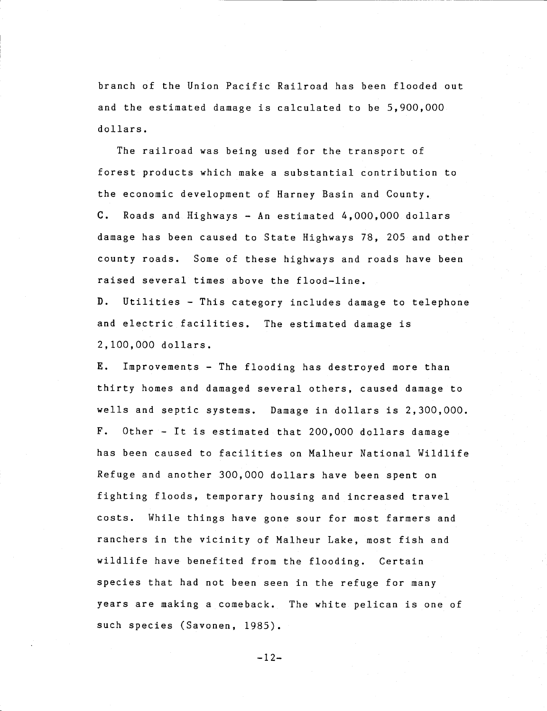branch of the Union Pacific Railroad has been flooded out and the estimated damage is calculated to be 5,900,000 dollars.

The railroad was being used for the transport of forest products which make a substantial contribution to the economic development of Harney Basin and County. C. Roads and Highways - An estimated 4,000,000 dollars damage has been caused to State Highways 78, 205 and other county roads. Some of these highways and roads have been raised several times above the flood-line.

D. Utilities - This category includes damage to telephone and electric facilities. The estimated damage is 2,100,000 dollars.

E. Improvements - The flooding has destroyed more than thirty homes and damaged several others, caused damage to wells and septic systems. Damage in dollars is 2,300,000. F. Other - It is estimated that 200,000 dollars damage has been caused to facilities on Malheur National Wildlife Refuge and another 300,000 dollars have been spent on fighting floods, temporary housing and increased travel costs. While things have gone sour for most farmers and ranchers in the vicinity of Maiheur Lake, most fish and wildlife have benefited from the flooding. Certain species that had not been seen in the refuge for many years are making a comeback. The white pelican is one of such species (Savonen, 1985).

 $-12-$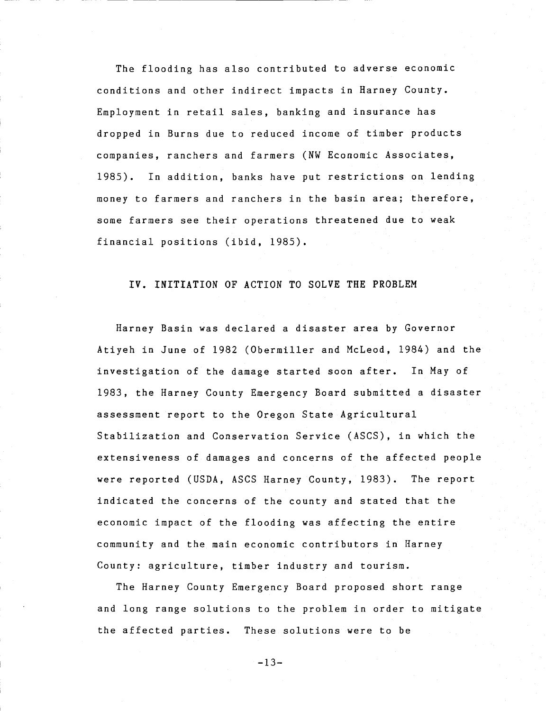The flooding has also contributed to adverse economic conditions and other indirect impacts in Barney County. Employment in retail sales, banking and insurance has dropped in Burns due to reduced income of timber products companies, ranchers and farmers (NW Economic Associates, 1985). In addition, banks have put restrictions on lending money to farmers and ranchers in the basin area; therefore, some farmers see their operations threatened due to weak financial positions (ibid, 1985).

# IV. INITIATION OF ACTION TO SOLVE THE PROBLEM

Harney Basin was declared a disaster area by Governor Atiyeh in June of 1982 (Obermiller and McLeod, 1984) and the investigation of the damage started soon after. In May of 1983, the Harney County Emergency Board submitted a disaster assessment report to the Oregon State Agricultural Stabilization and Conservation Service (ASCS), in which the extensiveness of damages and concerns of the affected people were reported (USDA, ASCS Harney County, 1983). The report indicated the concerns of the county and stated that the economic impact of the flooding was affecting the entire community and the main economic contributors in Harney County: agriculture, timber industry and tourism.

The Harney County Emergency Board proposed short range and long range solutions to the problem in order to mitigate the affected parties. These solutions were to be

-13--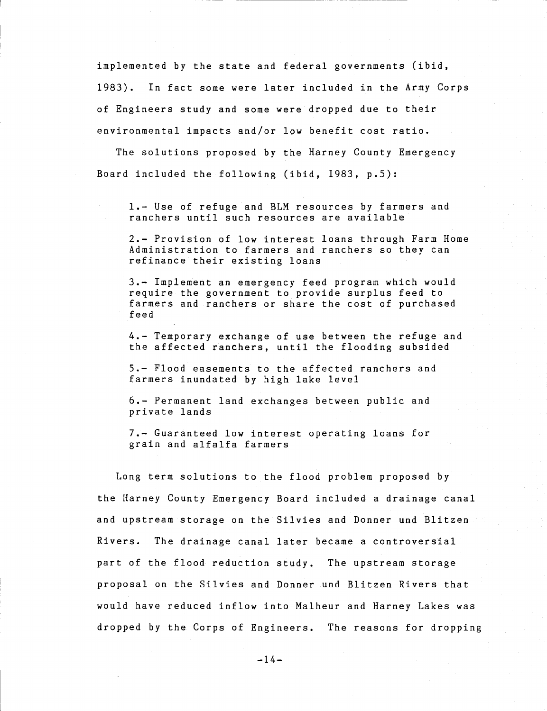implemented by the state and federal governments (ibid, 1983). In fact some were later included in the Army Corps of Engineers study and some were dropped due to their environmental impacts and/or low benefit cost ratio.

The solutions proposed by the Harney County Emergency Board included the following (ibid, 1983, p.5):

1.- Use of refuge and BLM resources by farmers and ranchers until such resources are available

2.- Provision of low interest loans through Farm Home Administration to farmers and ranchers so they can refinance their existing loans

3.- Implement an emergency feed program which would require the government to provide surplus feed to farmers and ranchers or share the cost of purchased feed

4.- Temporary exchange of use between the refuge and the affected ranchers, until the flooding subsided

5.- Flood easements to the affected ranchers and farmers inundated by high lake level

6.- Permanent land exchanges between public and private lands

7.- Guaranteed low interest operating loans for grain and alfalfa farmers

Long term solutions to the flood problem proposed by the Harney County Emergency Board included a drainage canal and upstream storage on the Silvies and Donner und Blitzen Rivers. The drainage canal later became a controversial part of the flood reduction study. The upstream storage proposal on the Silvies and Donner und Blitzen Rivers that would have reduced inflow into Malheur and Harney Lakes was dropped by the Corps of Engineers. The reasons for dropping

 $-14-$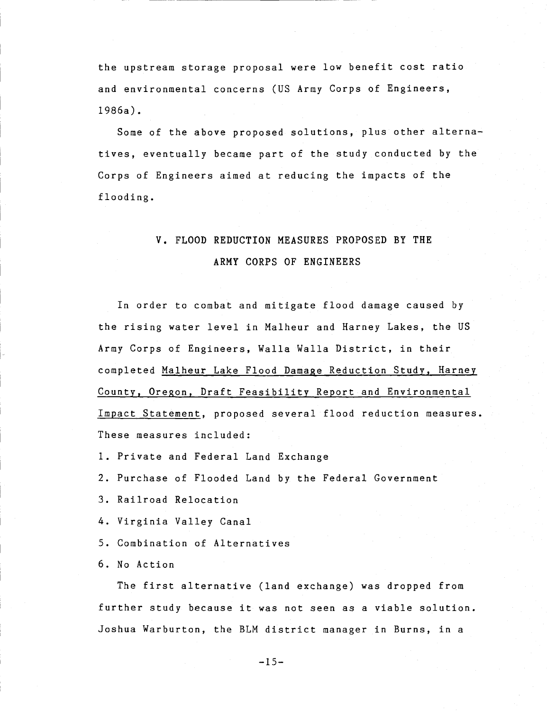the upstream storage proposal were low benefit cost ratio and environmental concerns (US Army Corps of Engineers, 1986a).

Some of the above proposed solutions, plus other alternatives, eventually became part of the study conducted by the Corps of Engineers aimed at reducing the impacts of the flooding.

# V. FLOOD REDUCTION MEASURES PROPOSED BY THE ARMY CORPS OF ENGINEERS

In order to combat and mitigate flood damage caused by the rising water level in Maiheur and Harney Lakes, the US Army Corps of Engineers, Walla Walla District, in their completed Maiheur Lake Flood Damage Reduction Study, Harney County, Oregon, Draft Feasibility Report and Environmental Impact Statement, proposed several flood reduction measures. These measures included:

1. Private and Federal Land Exchange

2. Purchase of Flooded Land by the Federal Government

- 3. Railroad Relocation
- 4. Virginia Valley Canal
- 5. Combination of Alternatives

6. No Action

The first alternative (land exchange) was dropped from further study because it was not seen as a viable solution. Joshua Warburton, the BLM district manager in Burns, in a

-15--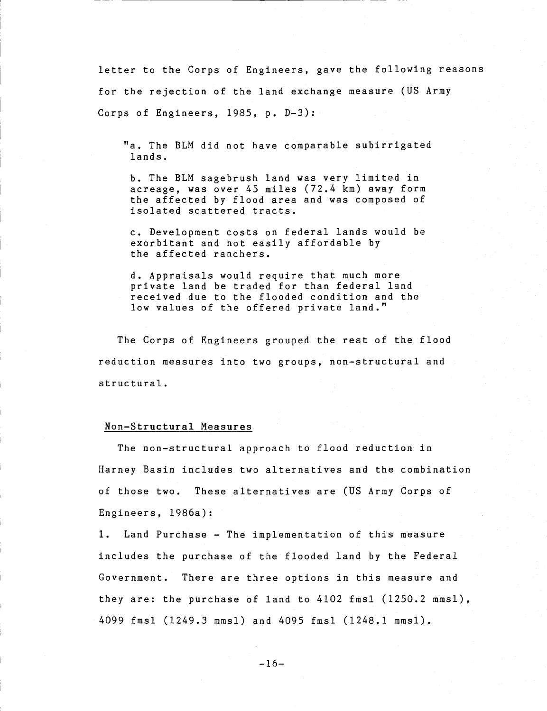letter to the Corps of Engineers, gave the following reasons for the rejection of the land exchange measure (US Army Corps of Engineers, 1985, p. D-3):

"a. The BLM did not have comparable subirrigated lands.

b. The BLM sagebrush land was very limited in acreage, was over 45 miles (72.4 km) away form the affected by flood area and was composed of isolated scattered tracts.

c. Development costs on federal lands would be exorbitant and not easily affordable by the affected ranchers.

d. Appraisals would require that much more private land be traded for than federal land received due to the flooded condition and the low values of the offered private land."

The Corps of Engineers grouped the rest of the flood reduction measures into two groups, non-structural and structural.

#### Non-Structural Measures

The non-structural approach to flood reduction in Harney Basin includes two alternatives and the combination of those two. These alternatives are (US Army Corps of Engineers, 1986a):

1. Land Purchase - The implementation of this measure includes the purchase of the flooded land by the Federal Government. There are three options in this measure and they are: the purchase of land to 4102 fmsl (1250.2 mmsl), 4099 fmsl (1249.3 mmsl) and 4095 fmsl (1248.1 mmsl).

 $-16-$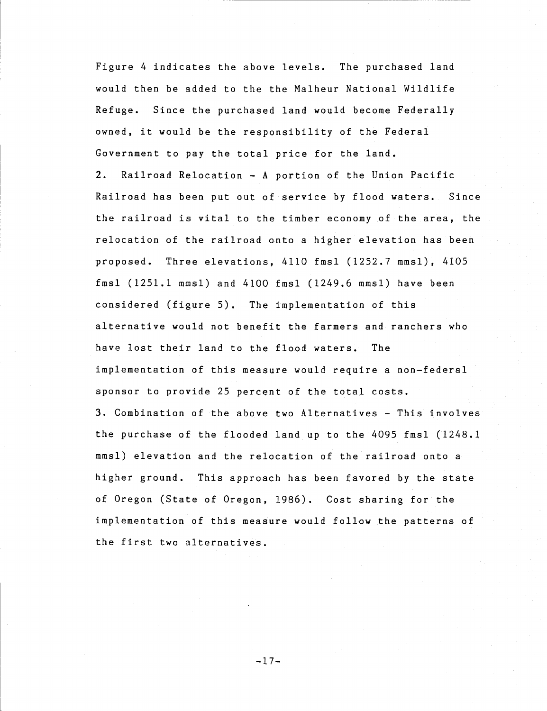Figure 4 indicates the above levels. The purchased land would then be added to the the Maiheur National Wildlife Refuge. Since the purchased land would become Federally owned, it would be the responsibility of the Federal Government to pay the total price for the land. 2. Railroad Relocation - A portion of the Union Pacific Railroad has been put out of service by flood waters. Since the railroad is vital to the timber economy of the area, the relocation of the railroad onto a higher elevation has been proposed. Three elevations, 4110 fmsl (1252.7 mmsl), 4105 fmsl (1251.1 mmsl) and 4100 fmsl (1249.6 mmsl) have been considered (figure 5). The implementation of this alternative would not benefit the farmers and ranchers who have lost their land to the flood waters. The implementation of this measure would require a non-federal sponsor to provide 25 percent of the total costs. 3. Combination of the above two Alternatives - This involves the purchase of the flooded land up to the 4095 fmsl (1248.1 mmsl) elevation and the relocation of the railroad onto a higher ground. This approach has been favored by the state of Oregon (State of Oregon, 1986). Cost sharing for the implementation of this measure would follow the patterns of the first two alternatives.

 $-17-$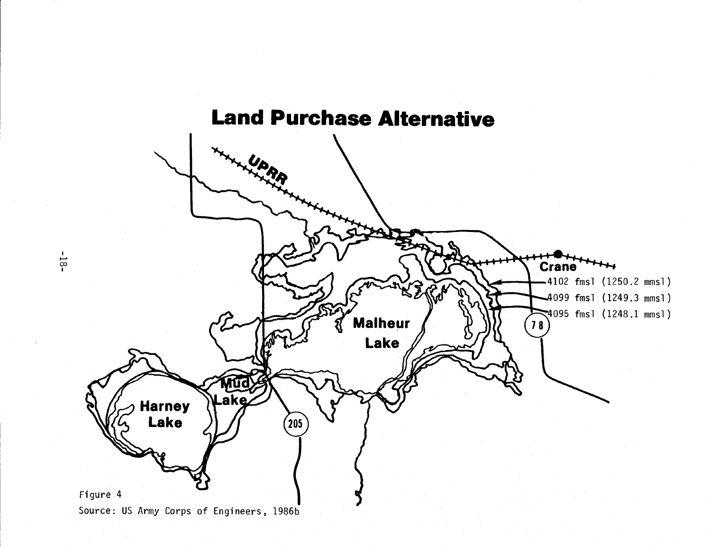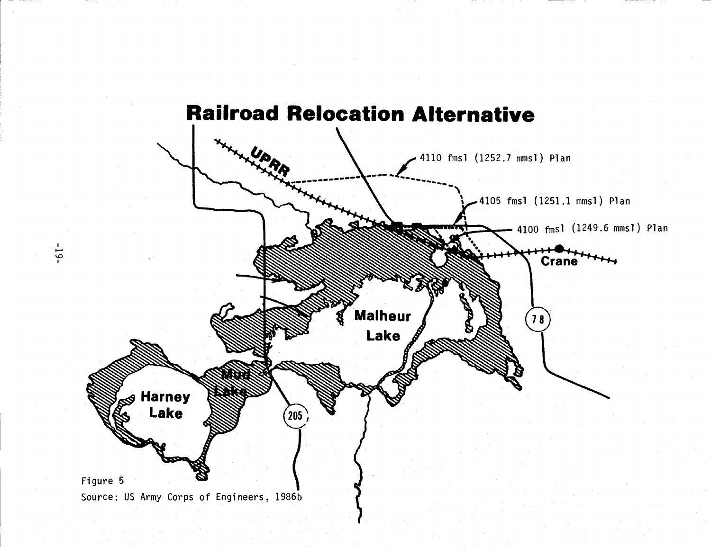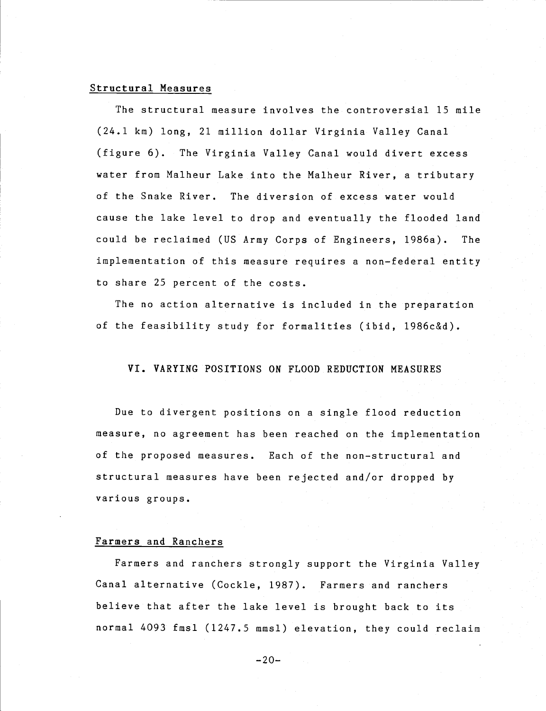#### Structural Measures

The structural measure involves the controversial 15 mile (24.1 km) long, 21 million dollar Virginia Valley Canal (figure 6). The Virginia Valley Canal would divert excess water from Malheur Lake into the Malheur River, a tributary of the Snake River. The diversion of excess water would cause the lake level to drop and eventually the flooded land could be reclaimed (US Army Corps of Engineers, 1986a). The implementation of this measure requires a non-federal entity to share 25 percent of the costs.

The no action alternative is included in the preparation of the feasibility study for formalities (ibid, 1986c&d).

# VI. VARYING POSITIONS ON FLOOD REDUCTION MEASURES

Due to divergent positions on a single flood reduction measure, no agreement has been reached on the implementation of the proposed measures. Each of the non-structural and structural measures have been rejected and/or dropped by various groups.

#### Farmers and Ranchers

Farmers and ranchers strongly support the Virginia Valley Canal alternative (Cockle, 1987). Farmers and ranchers believe that after the lake level is brought back to its normal 4093 fmsl (1247.5 mmsl) elevation, they could reclaim

 $-20-$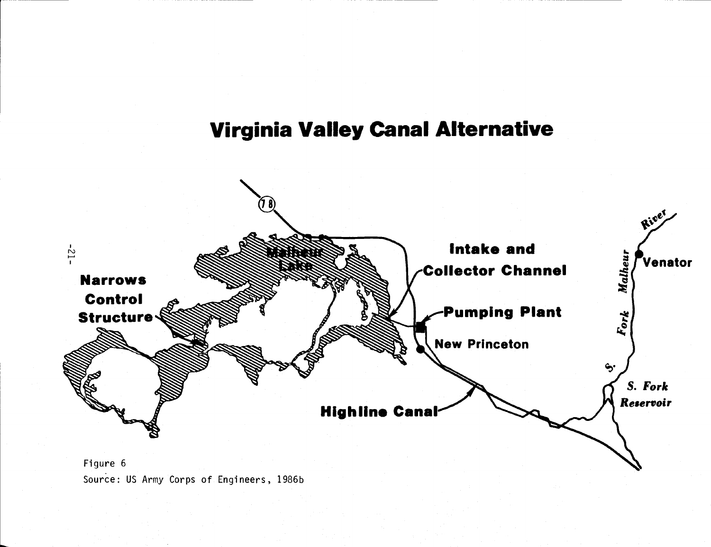# Virginia Valley Canal Alternative



Source: US Army Corps of Engineers, 1986b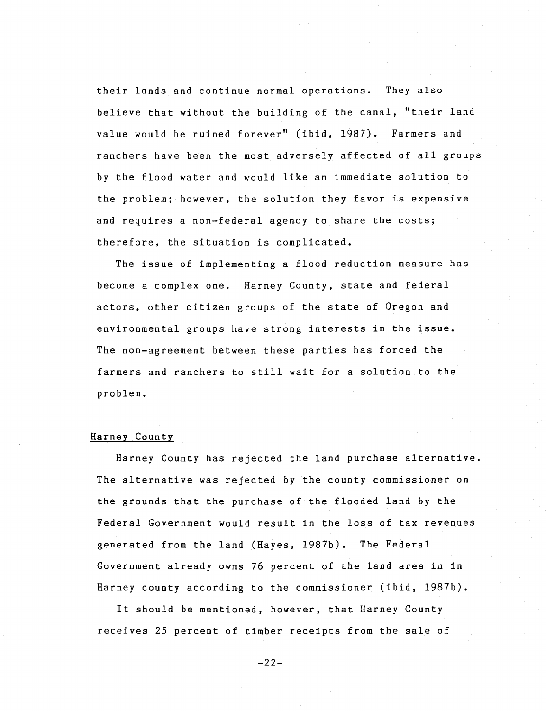their lands and continue normal operations. They also believe that without the building of the canal, "their land value would be ruined forever" (ibid, 1987). Farmers and ranchers have been the most adversely affected of all groups by the flood water and would like an immediate solution to the problem; however, the solution they favor is expensive and requires a non-federal agency to share the costs; therefore, the situation is complicated.

The issue of implementing a flood reduction measure has become a complex one. Harney County, state and federal actors, other citizen groups of the state of Oregon and environmental groups have strong interests in the issue. The non-agreement between these parties has forced the farmers and ranchers to still wait for a solution to the problem.

#### Harney County

Harney County has rejected the land purchase alternative. The alternative was rejected by the county commissioner on the grounds that the purchase of the flooded land by the Federal Government would result in the loss of tax revenues generated from the land (Hayes, 1987b). The Federal Government already owns 76 percent of the land area in in Harney county according to the commissioner (ibid, 1987b).

It should be mentioned, however, that Harney County receives 25 percent of timber receipts from the sale of

 $-22-$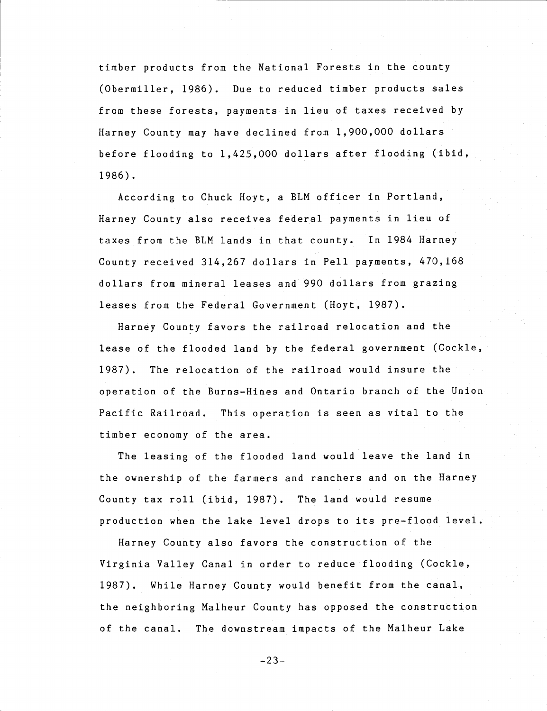timber products from the National Forests in the county (Obermiller, 1986). Due to reduced timber products sales from these forests, payments in lieu of taxes received by Harney County may have declined from 1,900,000 dollars before flooding to 1,425,000 dollars after flooding (ibid, 1986).

According to Chuck Hoyt, a BLM officer in Portland, Harney County also receives federal payments in lieu of taxes from the BLM lands in that county. In 1984 Harney County received 314,267 dollars in Pell payments, 470,168 dollars from mineral leases and 990 dollars from grazing leases from the Federal Government (Hoyt, 1987).

Harney County favors the railroad relocation and the lease of the flooded land by the federal government (Cockle, 1987). The relocation of the railroad would insure the operation of the Burns-Hines and Ontario branch of the Union Pacific Railroad. This operation is seen as vital to the timber economy of the area.

The leasing of the flooded land would leave the land in the ownership of the farmers and ranchers and on the Harney County tax roll (ibid, 1987). The land would resume production when the lake level drops to its pre-flood level.

Harney County also favors the construction of the Virginia Valley Canal in order to reduce flooding (Cockle, 1987). While Harney County would benefit from the canal, the neighboring Malheur County has opposed the construction of the canal. The downstream impacts of the Malheur Lake

 $-23-$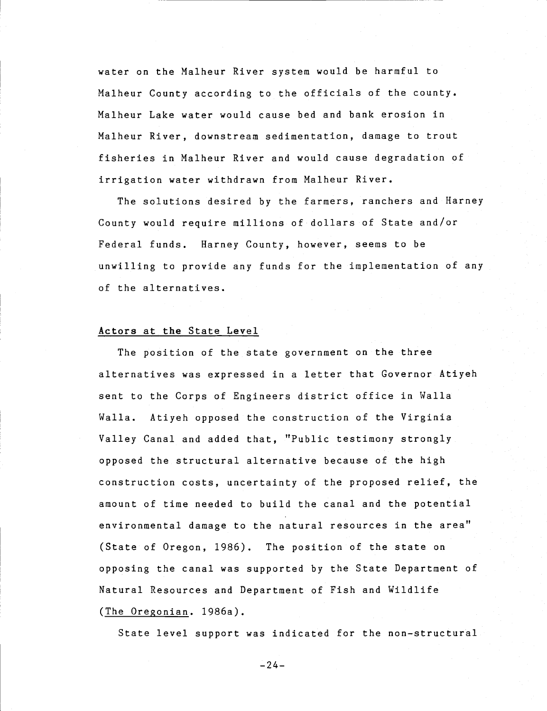water on the Malheur River system would be harmful to Malheur County according to the officials of the county. Malheur Lake water would cause bed and bank erosion in Malheur River, downstream sedimentation, damage to trout fisheries in Malheur River and would cause degradation of irrigation water withdrawn from Malheur River.

The solutions desired by the farmers, ranchers and Harney County would require millions of dollars of State and/or Federal funds. Harney County, however, seems to be unwilling to provide any funds for the implementation of any of the alternatives.

## Actors at the State Level

The position of the state government on the three alternatives was expressed in a letter that Governor Atiyeh sent to the Corps of Engineers district office in Walla Walla. Atiyeh opposed the construction of the Virginia Valley Canal and added that, "Public testimony strongly opposed the structural alternative because of the high construction costs, uncertainty of the proposed relief, the amount of time needed to build the canal and the potential environmental damage to the natural resources in the area" (State of Oregon, 1986). The position of the state on opposing the canal was supported by the State Department of Natural Resources and Department of Fish and Wildlife (The Oregonian. 1986a).

State level support was indicated for the non-structural

 $-24-$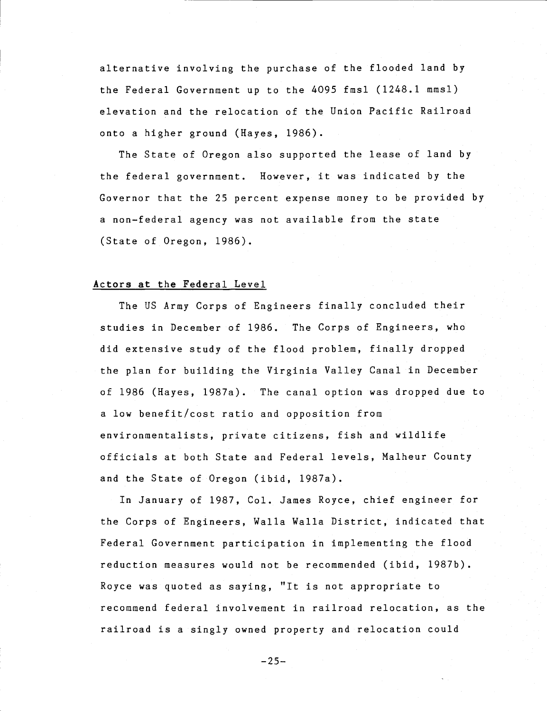alternative involving the purchase of the flooded land by the Federal Government up to the 4095 fmsl (1248.1 mmsl) elevation and the relocation of the Union Pacific Railroad onto a higher ground (Hayes, 1986).

The State of Oregon also supported the lease of land by the federal government. However, it was indicated by the Governor that the 25 percent expense money to be provided by a non-federal agency was not available from the state (State of Oregon, 1986).

# Actors at the Federal Level

The US Army Corps of Engineers finally concluded their studies in December of 1986. The Corps of Engineers, who did extensive study of the flood problem, finally dropped the plan for building the Virginia Valley Canal in December of 1986 (Hayes, 1987a). The canal option was dropped due to a low benefit/cost ratio and opposition from environmentalists, private citizens, fish and wildlife officials at both State and Federal levels, Maiheur County and the State of Oregon (ibid, 1987a).

In January of 1987, Col. James Royce, chief engineer for the Corps of Engineers, Walla Walla District, indicated that Federal Government participation in implementing the flood reduction measures would not be recommended (ibid, 1987b). Royce was quoted as saying, "It is not appropriate to recommend federal involvement in railroad relocation, as the railroad is a singly owned property and relocation could

 $-25-$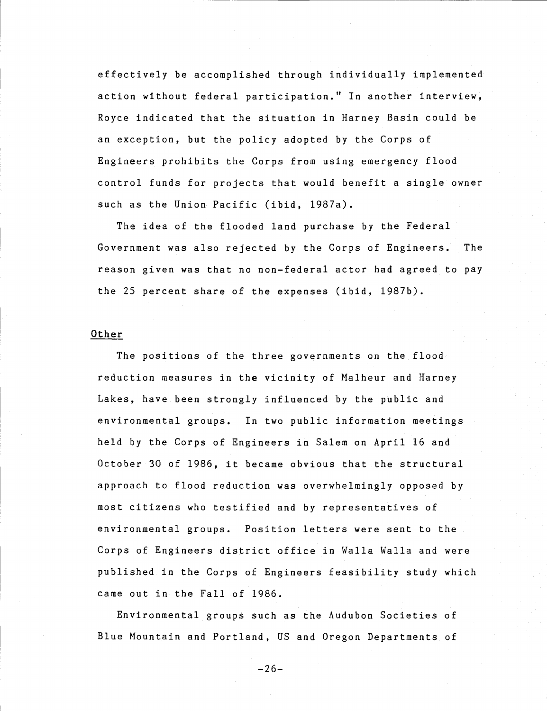effectively be accomplished through individually implemented action without federal participation." In another interview, Royce indicated that the situation in Harney Basin could be an exception, but the policy adopted by the Corps of Engineers prohibits the Corps from using emergency flood control funds for projects that would benefit a single owner such as the Union Pacific (ibid, 1987a).

The idea of the flooded land purchase by the Federal Government was also rejected by the Corps of Engineers. The reason given was that no non-federal actor had agreed to pay the 25 percent share of the expenses (ibid, 1987b).

#### Other

The positions of the three governments on the flood reduction measures in the vicinity of Malheur and Harney Lakes, have been strongly influenced by the public and environmental groups. In two public information meetings held by the Corps of Engineers in Salem on April 16 and October 30 of 1986, it became obvious that the structural approach to flood reduction was overwhelmingly opposed by most citizens who testified and by representatives of environmental groups. Position letters were sent to the Corps of Engineers district office in Walla Walla and were published in the Corps of Engineers feasibility study which came out in the Fall of 1986.

Environmental groups such as the Audubon Societies of Blue Mountain and Portland, US and Oregon Departments of

 $-26-$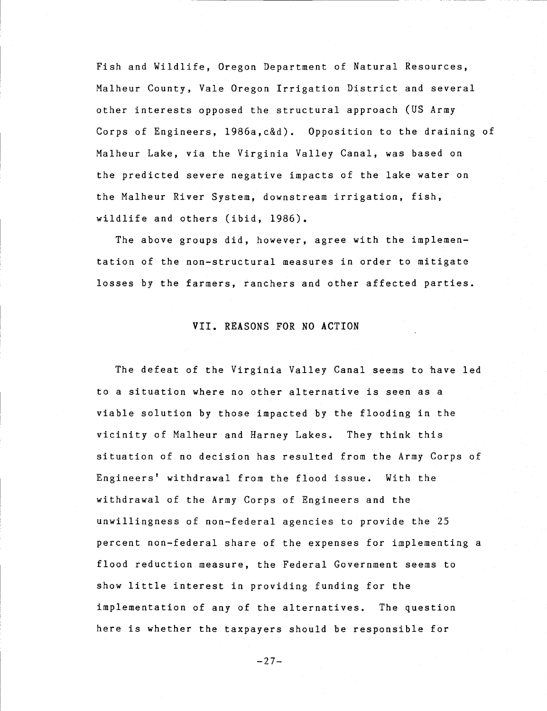Fish and Wildlife, Oregon Department of Natural Resources, Maiheur County, Vale Oregon Irrigation District and several other interests opposed the structural approach (US Army Corps of Engineers, 1986a,c&d). Opposition to the draining of Malheur Lake, via the Virginia Valley Canal, was based on the predicted severe negative impacts of the lake water on the Malheur River System, downstream irrigation, fish, wildlife and others (ibid, 1986).

The above groups did, however, agree with the implementation of the non-structural measures in order to mitigate losses by the farmers, ranchers and other affected parties.

# VII. REASONS FOR NO ACTION

The defeat of the Virginia Valley Canal seems to have led to a situation where no other alternative is seen as a viable solution by those impacted by the flooding in the vicinity of Maiheur and Harney Lakes. They think this situation of no decision has resulted from the Army Corps of Engineers' withdrawal from the flood issue. With the withdrawal of the Army Corps of Engineers and the unwillingness of non-federal agencies to provide the 25 percent non-federal share of the expenses for implementing a flood reduction measure, the Federal Government seems to show little interest in providing funding for the implementation of any of the alternatives. The question here is whether the taxpayers should be responsible for

 $-27-$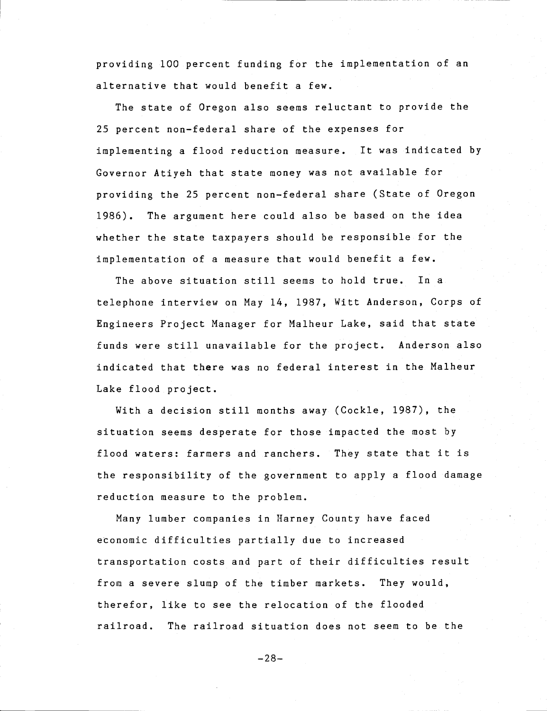providing 100 percent funding for the implementation of an alternative that would benefit a few.

The state of Oregon also seems reluctant to provide the 25 percent non-federal share of the expenses for implementing a flood reduction measure. It was indicated by Governor Atiyeh that state money was not available for providing the 25 percent non-federal share (State of Oregon 1986). The argument here could also be based on the idea whether the state taxpayers should be responsible for the implementation of a measure that would benefit a few.

The above situation still seems to hold true. In a telephone interview on May 14, 1987, Witt Anderson, Corps of Engineers Project Manager for Malheur Lake, said that state funds were still unavailable for the project. Anderson also indicated that there was no federal interest in the Malheur Lake flood project.

With a decision still months away (Cockle, 1987), the situation seems desperate for those impacted the most by flood waters: farmers and ranchers. They state that it is the responsibility of the government to apply a flood damage reduction measure to the problem.

Many lumber companies in Harney County have faced economic difficulties partially due to increased transportation costs and part of their difficulties result from a severe slump of the timber markets. They would, therefor, like to see the relocation of the flooded railroad. The railroad situation does not seem to be the

 $-28-$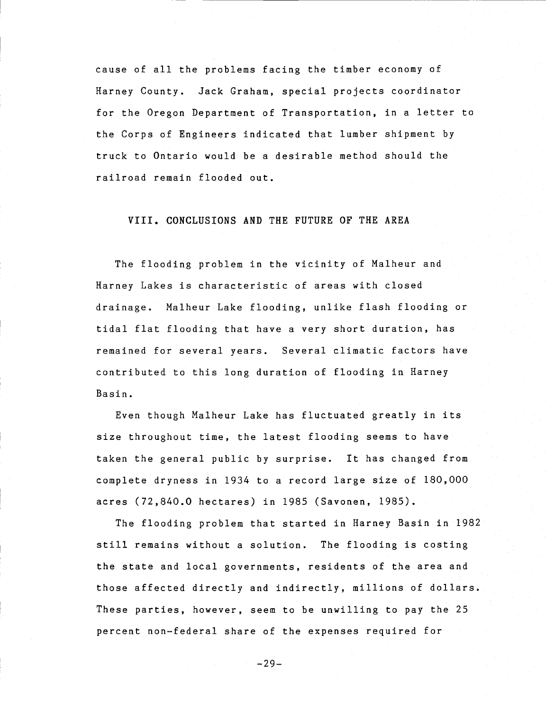cause of all the problems facing the timber economy of Harney County. Jack Graham, special projects coordinator for the Oregon Department of Transportation, in a letter to the Corps of Engineers indicated that lumber shipment by truck to Ontario would be a desirable method should the railroad remain flooded out.

### VIII. CONCLUSIONS AND THE FUTURE OF THE AREA

The flooding problem in the vicinity of Maiheur and Harney Lakes is characteristic of areas with closed drainage. Maiheur Lake flooding, unlike flash flooding or tidal flat flooding that have a very short duration, has remained for several years. Several climatic factors have contributed to this long duration of flooding in Harney Basin.

Even though Malheur Lake has fluctuated greatly in its size throughout time, the latest flooding seems to have taken the general public by surprise. It has changed from complete dryness in 1934 to a record large size of 180,000 acres (72,840.0 hectares) in 1985 (Savonen, 1985).

The flooding problem that started in Harney Basin in 1982 still remains without a solution. The flooding is costing the state and local governments, residents of the area and those affected directly and indirectly, millions of dollars. These parties, however, seem to be unwilling to pay the 25 percent non-federal share of the expenses required for

 $-29-$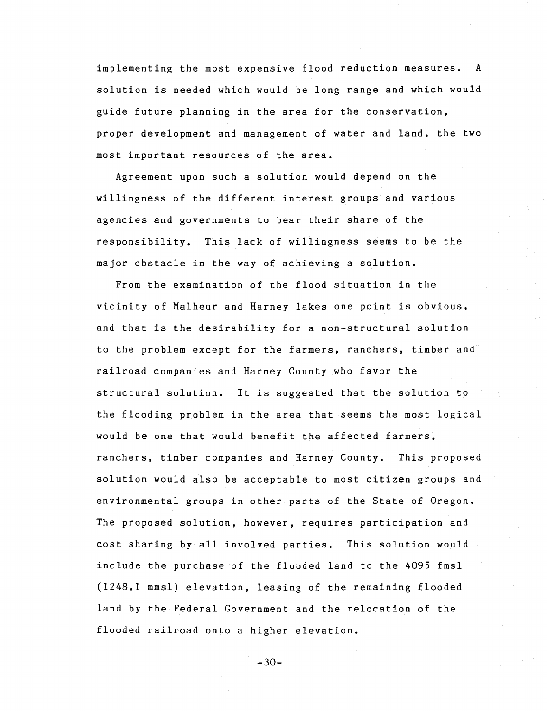implementing the most expensive flood reduction measures. A solution is needed which would be long range and which would guide future planning in the area for the conservation, proper development and management of water and land, the two most important resources of the area.

Agreement upon such a solution would depend on the willingness of the different interest groups and various agencies and governments to bear their share of the responsibility. This lack of willingness seems to be the major obstacle in the way of achieving a solution.

From the examination of the flood situation in the vicinity of Malheur and Harney lakes one point is obvious, and that is the desirability for a non-structural solution to the problem except for the farmers, ranchers, timber and railroad companies and Harney County who favor the structural solution. It is suggested that the solution to the flooding problem in the area that seems the most logical would be one that would benefit the affected farmers, ranchers, timber companies and Harney County. This proposed solution would also be acceptable to most citizen groups and environmental groups in other parts of the State of Oregon. The proposed solution, however, requires participation and cost sharing by all involved parties. This solution would include the purchase of the flooded land to the 4095 fmsl (1248.1 mmsl) elevation, leasing of the remaining flooded land by the Federal Government and the relocation of the flooded railroad onto a higher elevation.

 $-30-$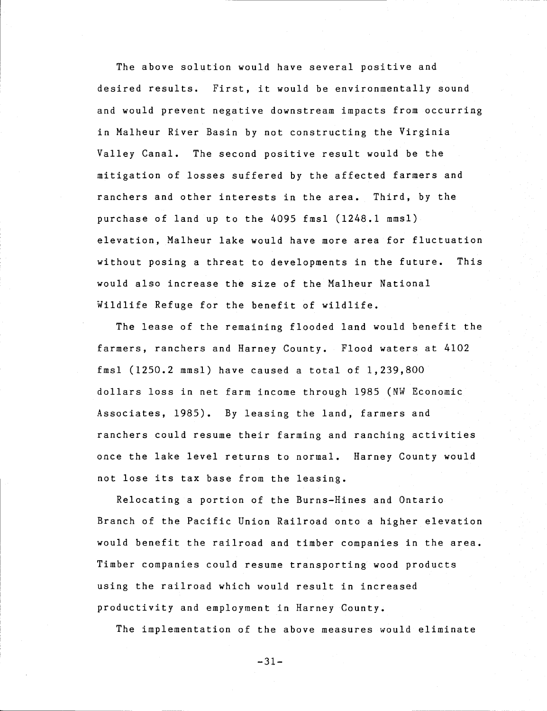The above solution would have several positive and desired results. First, it would be environmentally sound and would prevent negative downstream impacts from occurring in Malheur River Basin by not constructing the Virginia Valley Canal. The second positive result would be the mitigation of losses suffered by the affected farmers and ranchers and other interests in the area. Third, by the purchase of land up to the 4095 fmsl (1248.1 mmsl) elevation, Malheur lake would have more area for fluctuation without posing a threat to developments in the future. This would also increase the size of the Malheur National Wildlife Refuge for the benefit of wildlife.

The lease of the remaining flooded land would benefit the farmers, ranchers and Harney County. Flood waters at 4102 fmsl (1250.2 mmsl) have caused a total of 1,239,800 dollars loss in net farm income through 1985 (NW Economic Associates, 1985). By leasing the land, farmers and ranchers could resume their farming and ranching activities once the lake level returns to normal. Harney County would not lose its tax base from the leasing.

Relocating a portion of the Burns-Hines and Ontario Branch of the Pacific Union Railroad onto a higher elevation would benefit the railroad and timber companies in the area. Timber companies could resume transporting wood products using the railroad which would result in increased productivity and employment in Harney County.

The implementation of the above measures would eliminate

 $-31-$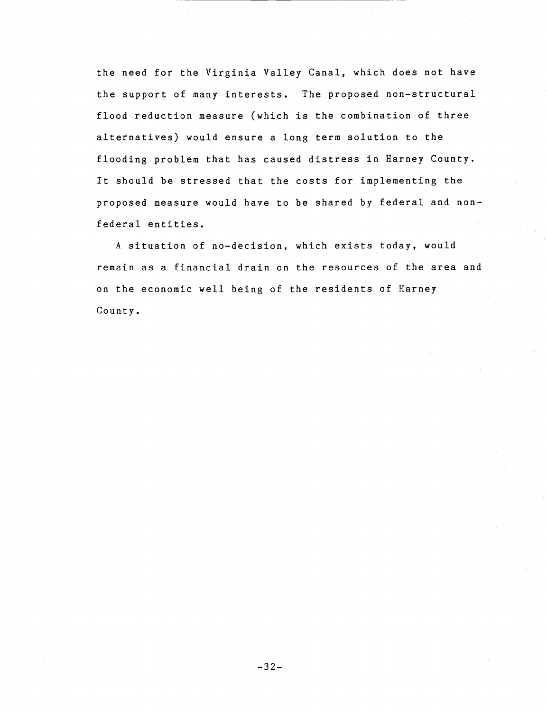the need for the Virginia Valley Canal, which does not have the support of many interests. The proposed non-structural flood reduction measure (which is the combination of three alternatives) would ensure a long term solution to the flooding problem that has caused distress in Harney County. It should be stressed that the costs for implementing the proposed measure would have to be shared by federal and nonfederal entities.

A situation of no-decision, which exists today, would remain as a financial drain on the resources of the area and on the economic well being of the residents of Harney County.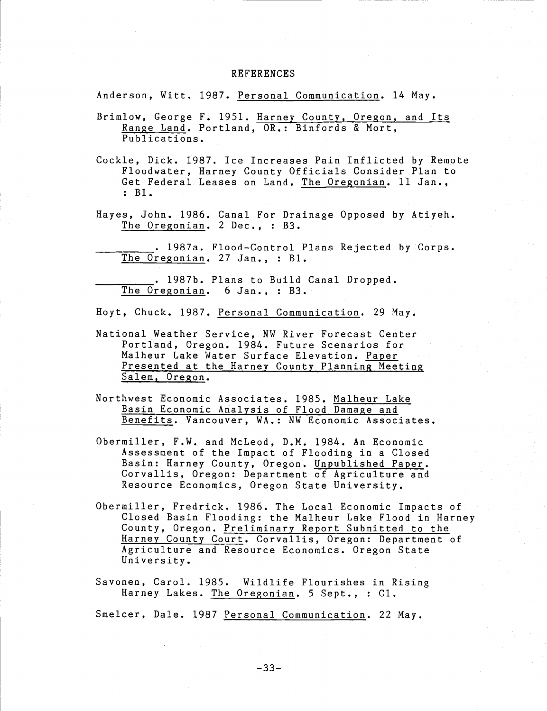#### REFERENCES

Anderson, Witt. 1987. Personal Communication. 14 May.

Brimlow, George F. 1951. Harney County, Oregon, and Its Range Land. Portland, OR.: Binfords & Mort, Publications.

Cockle, Dick. 1987. Ice Increases Pain Inflicted by Remote Floodwater, Harney County Officials Consider Plan to Get Federal Leases on Land. The Oregonian. 11 Jan., : B1.

Hayes, John. 1986. Canal For Drainage Opposed by Atiyeh. The Oregonian. 2 Dec., : B3.

. 1987a. Flood-Control Plans Rejected by Corps. The Oregonian. 27 Jan., : B1.

1987b. Plans to Build Canal Dropped. The Oregonian. 6 Jan., : B3.

Hoyt, Chuck. 1987. Personal Communication. 29 May.

- National Weather Service, NW River Forecast Center Portland, Oregon. 1984. Future Scenarios for Maiheur Lake Water Surface Elevation. Paper Presented at the Harney County Planning Meeting Salem, Oregon.
- Northwest Economic Associates. 1985. Maiheur Lake Basin Economic Analysis of Flood Damage and Benefits. Vancouver, WA.: NW Economic Associates.
- Obermiller, F.W. and McLeod, D.M. 1984. An Economic Assessment of the Impact of Flooding in a Closed Basin: Harney County, Oregon. Unpublished Paper. Corvallis, Oregon: Department of Agriculture and Resource Economics, Oregon State University.
- Oberaiiller, Fredrick. 1986. The Local Economic Impacts of Closed Basin Flooding: the Malheur Lake Flood in Harney County, Oregon. Preliminary Report Submitted to the Harney County Court. Corvallis, Oregon: Department of Agriculture and Resource Economics. Oregon State University.
- Savonen, Carol. 1985. Wildlife Flourishes in Rising Harney Lakes. The Oregonian. 5 Sept., : C1.

Smelcer, Dale. 1987 Personal Communication. 22 May.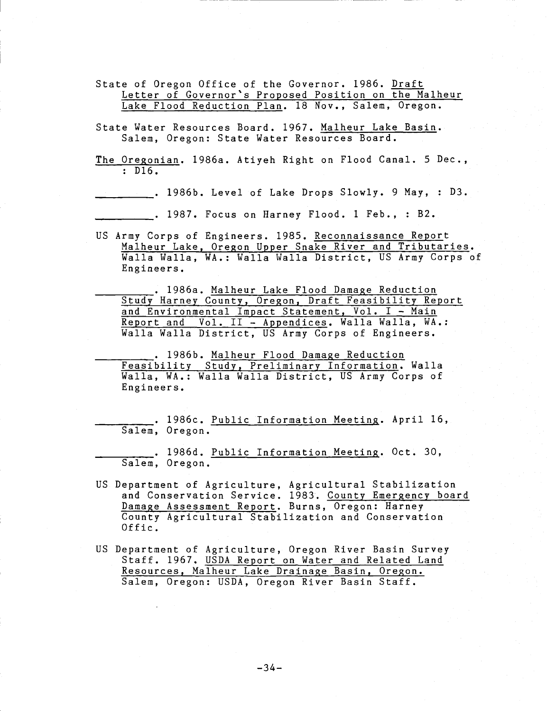State of Oregon Office of the Governor. 1986. Draft Letter of Governor's Proposed Position on the Malheur Lake Flood Reduction Plan. 18 Nov., Salem, Oregon.

State Water Resources Board. 1967. Malheur Lake Basin. Salem, Oregon: State Water Resources Board.

The Oregonian. 1986a. Atiyeh Right on Flood Canal. 5 Dec., : D16.

1986b. Level of Lake Drops Slowly. 9 May, : D3.

1987. Focus on Harney Flood. 1 Feb., : B2.

US Army Corps of Engineers. 1985. Reconnaissance Report Maiheur Lake, Oregon Upper Snake River and Tributaries. Walla Walla, WA.: Walla Walla District, US Army Corps of Engineers.

1986a. Malheur Lake Flood Damage Reduction Study Harney County, Oregon, Draft Feasibility Report and Environmental Impact Statement, Vol. I - Main Report and Vol. II - Appendices. Walla Walla, WA.: Walla Walla District, US Army Corps of Engineers.

1986b. Malheur Flood Damage Reduction Feasibility Study, Preliminary Information. Walla Walla, WA.: Walla Walla District, US Army Corps of Engineers.

1986c. Public Information Meeting. April 16, Salem, Oregon.

. 1986d. Public Information Meeting. Oct. 30, Salem, Oregon.

- US Department of Agriculture, Agricultural Stabilization and Conservation Service. 1983. County Emergency board Damage Assessment Report. Burns, Oregon: Harney County Agricultural Stabilization and Conservation Offic.
- US Department of Agriculture, Oregon River Basin Survey Staff. 1967. USDA Report on Water and Related Land Resources, Maiheur Lake Drainage Basin, Oregon. Salem, Oregon: USDA, Oregon River Basin Staff.